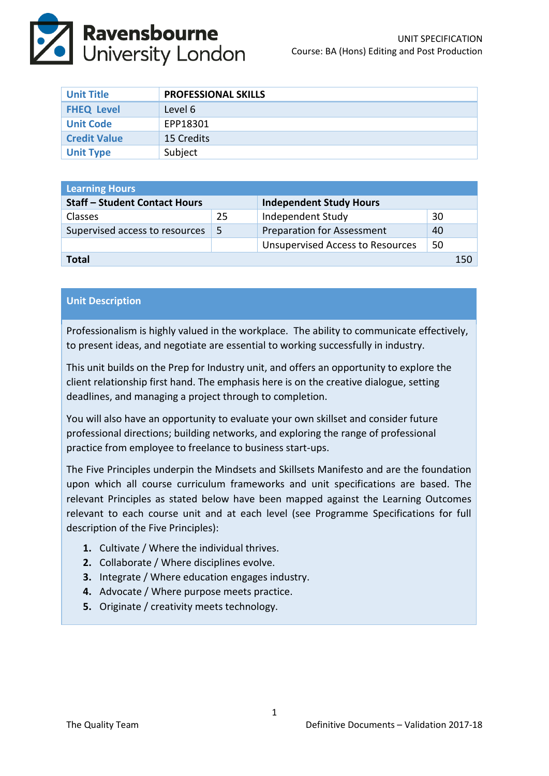

| <b>Unit Title</b>   | <b>PROFESSIONAL SKILLS</b> |
|---------------------|----------------------------|
| <b>FHEQ Level</b>   | Level 6                    |
| <b>Unit Code</b>    | EPP18301                   |
| <b>Credit Value</b> | 15 Credits                 |
| <b>Unit Type</b>    | Subject                    |

| <b>Learning Hours</b>                |    |                                         |    |     |  |  |
|--------------------------------------|----|-----------------------------------------|----|-----|--|--|
| <b>Staff - Student Contact Hours</b> |    | <b>Independent Study Hours</b>          |    |     |  |  |
| <b>Classes</b>                       | 25 | Independent Study                       | 30 |     |  |  |
| Supervised access to resources       | -5 | <b>Preparation for Assessment</b>       | 40 |     |  |  |
|                                      |    | <b>Unsupervised Access to Resources</b> | 50 |     |  |  |
| Total                                |    |                                         |    | 150 |  |  |

# **Unit Description**

Professionalism is highly valued in the workplace. The ability to communicate effectively, to present ideas, and negotiate are essential to working successfully in industry.

This unit builds on the Prep for Industry unit, and offers an opportunity to explore the client relationship first hand. The emphasis here is on the creative dialogue, setting deadlines, and managing a project through to completion.

You will also have an opportunity to evaluate your own skillset and consider future professional directions; building networks, and exploring the range of professional practice from employee to freelance to business start-ups.

The Five Principles underpin the Mindsets and Skillsets Manifesto and are the foundation upon which all course curriculum frameworks and unit specifications are based. The relevant Principles as stated below have been mapped against the Learning Outcomes relevant to each course unit and at each level (see Programme Specifications for full description of the Five Principles):

- **1.** Cultivate / Where the individual thrives.
- **2.** Collaborate / Where disciplines evolve.
- **3.** Integrate / Where education engages industry.
- **4.** Advocate / Where purpose meets practice.
- **5.** Originate / creativity meets technology.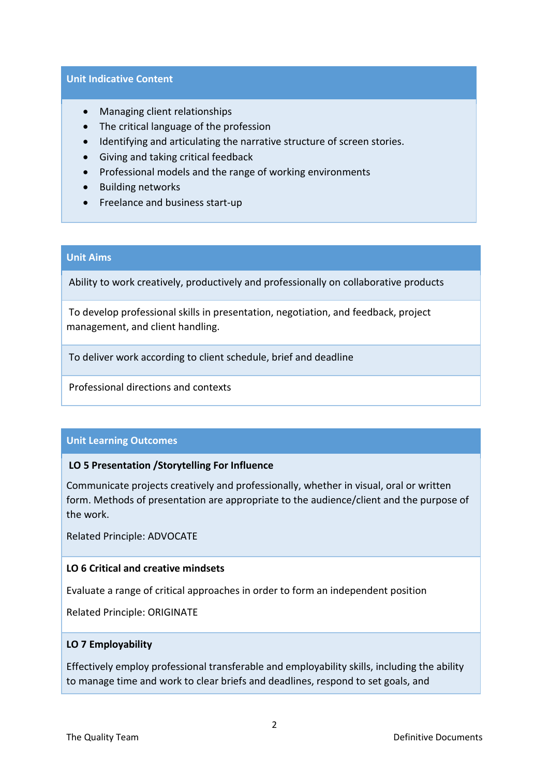#### **Unit Indicative Content**

- Managing client relationships
- The critical language of the profession
- Identifying and articulating the narrative structure of screen stories.
- Giving and taking critical feedback
- Professional models and the range of working environments
- Building networks
- Freelance and business start-up

## **Unit Aims**

Ability to work creatively, productively and professionally on collaborative products

To develop professional skills in presentation, negotiation, and feedback, project management, and client handling.

To deliver work according to client schedule, brief and deadline

Professional directions and contexts

## **Unit Learning Outcomes**

## **LO 5 Presentation /Storytelling For Influence**

Communicate projects creatively and professionally, whether in visual, oral or written form. Methods of presentation are appropriate to the audience/client and the purpose of the work.

Related Principle: ADVOCATE

## **LO 6 Critical and creative mindsets**

Evaluate a range of critical approaches in order to form an independent position

Related Principle: ORIGINATE

## **LO 7 Employability**

Effectively employ professional transferable and employability skills, including the ability to manage time and work to clear briefs and deadlines, respond to set goals, and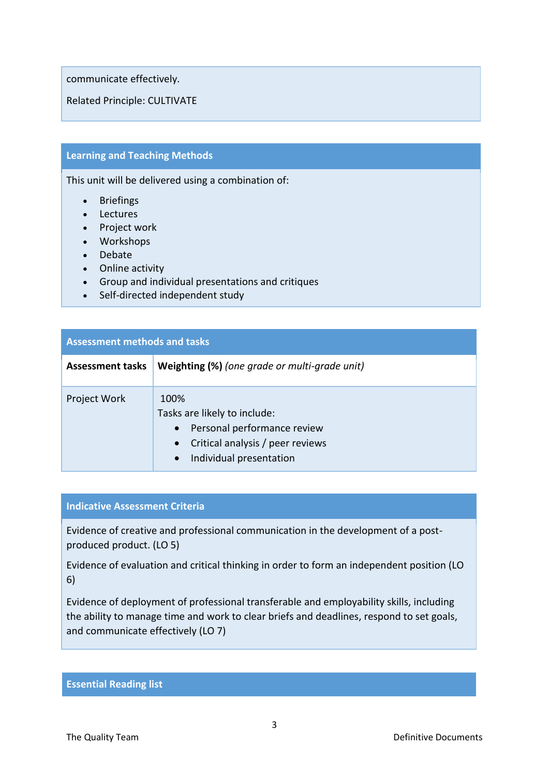communicate effectively.

Related Principle: CULTIVATE

## **Learning and Teaching Methods**

This unit will be delivered using a combination of:

- Briefings
- Lectures
- Project work
- Workshops
- Debate
- Online activity
- Group and individual presentations and critiques
- Self-directed independent study

| <b>Assessment methods and tasks</b> |                                                                                                                                                                           |  |  |  |
|-------------------------------------|---------------------------------------------------------------------------------------------------------------------------------------------------------------------------|--|--|--|
| <b>Assessment tasks</b>             | Weighting (%) (one grade or multi-grade unit)                                                                                                                             |  |  |  |
| Project Work                        | 100%<br>Tasks are likely to include:<br>Personal performance review<br>$\bullet$<br>Critical analysis / peer reviews<br>$\bullet$<br>Individual presentation<br>$\bullet$ |  |  |  |

#### **Indicative Assessment Criteria**

Evidence of creative and professional communication in the development of a postproduced product. (LO 5)

Evidence of evaluation and critical thinking in order to form an independent position (LO 6)

Evidence of deployment of professional transferable and employability skills, including the ability to manage time and work to clear briefs and deadlines, respond to set goals, and communicate effectively (LO 7)

#### **Essential Reading list**